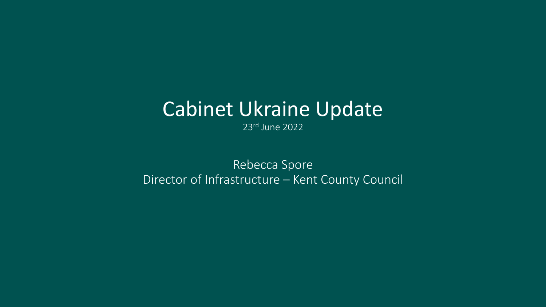## Cabinet Ukraine Update

23rd June 2022

Rebecca Spore Director of Infrastructure – Kent County Council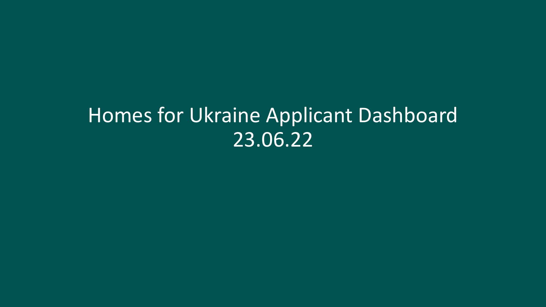## Homes for Ukraine Applicant Dashboard 23.06.22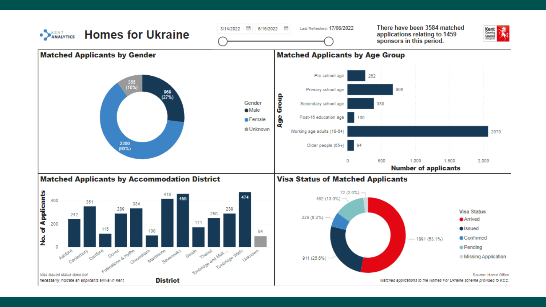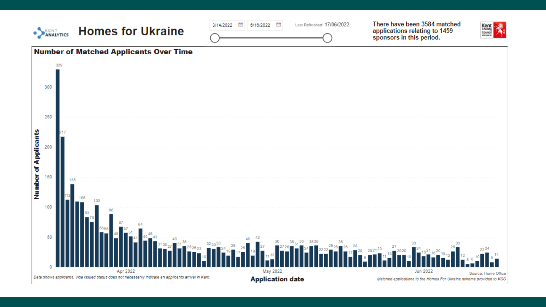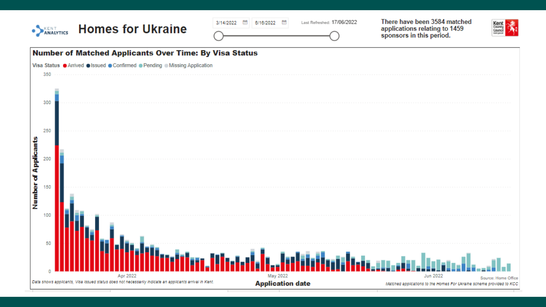| <b>•</b><br><b>ANALYTICS</b>       | <b>Homes for Ukraine</b>                                                                               | Last Refreshed: 17/06/2022<br>飼<br>3/14/2022<br>6/16/2022 | There have been 3584 matched<br>Kent<br><sup>County</sup><br>Council<br>applications relating to 1459<br>sponsors in this period. |
|------------------------------------|--------------------------------------------------------------------------------------------------------|-----------------------------------------------------------|-----------------------------------------------------------------------------------------------------------------------------------|
|                                    | <b>Number of Matched Applicants Over Time: By Visa Status</b>                                          |                                                           |                                                                                                                                   |
|                                    | Visa Status <sup>O</sup> Arrived Olssued Confirmed O Pending O Missing Application                     |                                                           |                                                                                                                                   |
| 350                                |                                                                                                        |                                                           |                                                                                                                                   |
| 300                                |                                                                                                        |                                                           |                                                                                                                                   |
| 250<br>200                         |                                                                                                        |                                                           |                                                                                                                                   |
| <b>Number of Applicants</b><br>150 |                                                                                                        |                                                           |                                                                                                                                   |
| 100<br>50                          |                                                                                                        |                                                           |                                                                                                                                   |
|                                    | Apr 2022                                                                                               | May 2022                                                  | <b>Jun 2022</b><br>Source: Home Office                                                                                            |
|                                    | Data shows applicants, Visa Issued status does not necessarily indicate an applicants arrival in Kent. | <b>Application date</b>                                   | Matched applications to the Homes For Ukraine scheme provided to KCC                                                              |
|                                    |                                                                                                        |                                                           |                                                                                                                                   |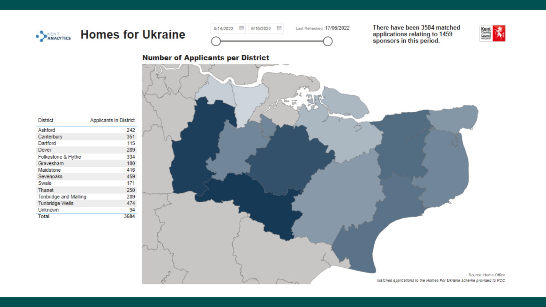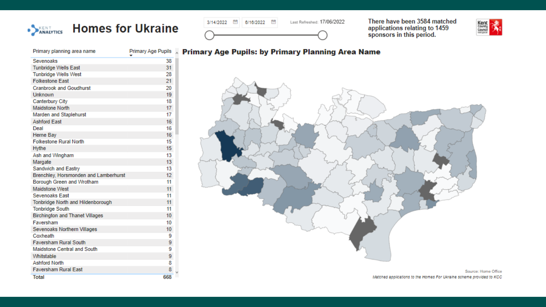### • ANALYTICS Homes for Ukraine

| Primary planning area name             | <b>Primary Age Pupils</b> |
|----------------------------------------|---------------------------|
| Sevenoaks                              | 38                        |
| <b>Tunbridge Wells East</b>            | 31                        |
| <b>Tunbridge Wells West</b>            | 28                        |
| <b>Folkestone East</b>                 | 21                        |
| <b>Cranbrook and Goudhurst</b>         | 20                        |
| Unknown                                | 19                        |
| Canterbury City                        | 18                        |
| <b>Maidstone North</b>                 | 17                        |
| Marden and Staplehurst                 | 17                        |
| <b>Ashford East</b>                    | 16                        |
| Deal                                   | 16                        |
| Herne Bay                              | 16                        |
| <b>Folkestone Rural North</b>          | 15                        |
| <b>Hythe</b>                           | 15                        |
| Ash and Wingham                        | 13                        |
| Margate                                | 13                        |
| <b>Sandwich and Eastry</b>             | 13                        |
| Brenchley, Horsmonden and Lamberhurst  | 12 <sup>°</sup>           |
| Borough Green and Wrotham              | 11                        |
| Maidstone West                         | 11                        |
| Sevenoaks East                         | 11                        |
| Tonbridge North and Hildenborough      | 11                        |
| <b>Tonbridge South</b>                 | 11                        |
| <b>Birchington and Thanet Villages</b> | 10 <sup>°</sup>           |
| Faversham                              | 10                        |
| Sevenoaks Northern Villages            | 10 <sup>10</sup>          |
| Coxheath                               | 9                         |
| <b>Faversham Rural South</b>           | 9                         |
| Maidstone Central and South            | 9                         |
| Whitstable                             | 9.                        |
| <b>Ashford North</b>                   | 8                         |
| <b>Faversham Rural East</b>            | 8                         |
| <b>Total</b>                           | 668                       |

#### 3/14/2022 団 6/16/2022 団 Last Refreshed: 17/06/2022

There have been 3584 matched applications relating to 1459<br>sponsors in this period.



# **Primary Age Pupils: by Primary Planning Area Name**

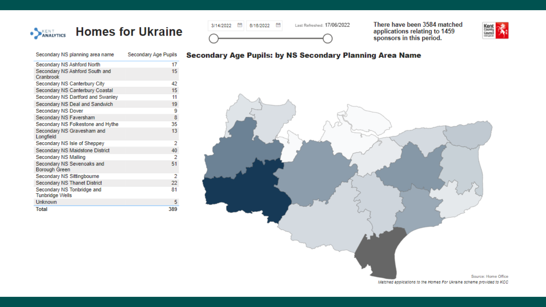

| Secondary NS planning area name                      | Secondary Age Pupils |
|------------------------------------------------------|----------------------|
| Secondary NS Ashford North                           | 17                   |
| Secondary NS Ashford South and<br>Cranbrook          | 15                   |
| Secondary NS Canterbury City                         | 42                   |
| Secondary NS Canterbury Coastal                      | 15                   |
| Secondary NS Dartford and Swanley                    | 11                   |
| Secondary NS Deal and Sandwich                       | 19                   |
| Secondary NS Dover                                   | 9                    |
| Secondary NS Faversham                               | 8                    |
| Secondary NS Folkestone and Hythe                    | 35                   |
| Secondary NS Gravesham and<br>Longfield              | 13                   |
| Secondary NS Isle of Sheppey                         | 2                    |
| Secondary NS Maidstone District                      | 40                   |
| Secondary NS Malling                                 | 2                    |
| Secondary NS Sevenoaks and<br>Borough Green          | 51                   |
| Secondary NS Sittingbourne                           | 2                    |
| Secondary NS Thanet District                         | 22                   |
| Secondary NS Tonbridge and<br><b>Tunbridge Wells</b> | 81                   |
| Unknown                                              | 5                    |
| Total                                                | 389                  |



There have been 3584 matched applications relating to 1459<br>sponsors in this period.



### **Secondary Age Pupils: by NS Secondary Planning Area Name**

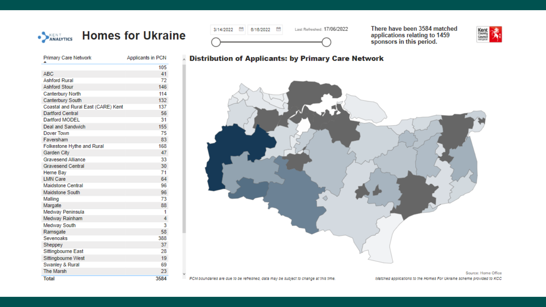



There have been 3584 matched applications relating to 1459<br>sponsors in this period.



| <b>Primary Care Network</b>        | Applicants in PCN |
|------------------------------------|-------------------|
|                                    | 105               |
| ABC                                | 41                |
| <b>Ashford Rural</b>               | 72                |
| <b>Ashford Stour</b>               | 146               |
| <b>Canterbury North</b>            | 114               |
| <b>Canterbury South</b>            | 132               |
| Coastal and Rural East (CARE) Kent | 137               |
| <b>Dartford Central</b>            | 56                |
| Dartford MODEL                     | 31                |
| Deal and Sandwich                  | 155               |
| Dover Town                         | 75                |
| Faversham                          | 83                |
| Folkestone Hythe and Rural         | 168               |
| Garden City                        | 47                |
| <b>Gravesend Alliance</b>          | 33                |
| <b>Gravesend Central</b>           | 30                |
| Herne Bay                          | 71                |
| <b>LMN Care</b>                    | 64                |
| <b>Maidstone Central</b>           | 96                |
| Maidstone South                    | 96                |
| Malling                            | 73                |
| Margate                            | 88                |
| Medway Peninsula                   | 1                 |
| Medway Rainham                     | 4                 |
| Medway South                       | 3                 |
| Ramsgate                           | 58                |
| Sevenoaks                          | 388               |
| Sheppey                            | 37                |
| Sittingbourne East                 | 28                |
| Sittingbourne West                 | 19                |
| Swanley & Rural                    | 69                |
| <b>The Marsh</b>                   | 23                |
| <b>Total</b>                       | 3584              |



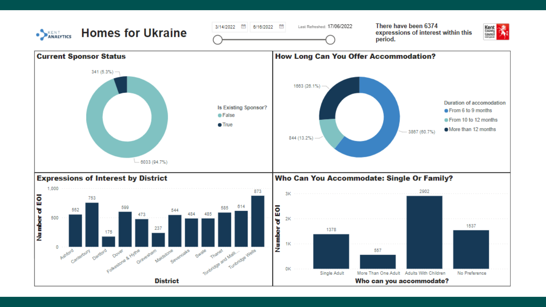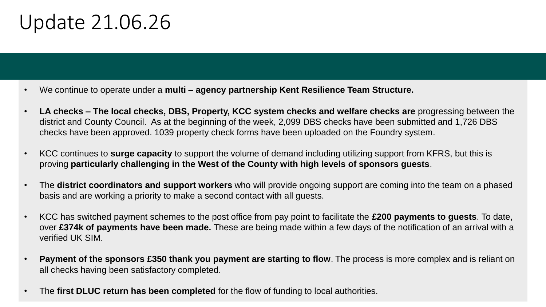## Update 21.06.26

- We continue to operate under a **multi – agency partnership Kent Resilience Team Structure.**
- **LA checks – The local checks, DBS, Property, KCC system checks and welfare checks are** progressing between the district and County Council. As at the beginning of the week, 2,099 DBS checks have been submitted and 1,726 DBS checks have been approved. 1039 property check forms have been uploaded on the Foundry system.
- KCC continues to **surge capacity** to support the volume of demand including utilizing support from KFRS, but this is proving **particularly challenging in the West of the County with high levels of sponsors guests**.
- The **district coordinators and support workers** who will provide ongoing support are coming into the team on a phased basis and are working a priority to make a second contact with all guests.
- KCC has switched payment schemes to the post office from pay point to facilitate the **£200 payments to guests**. To date, over **£374k of payments have been made.** These are being made within a few days of the notification of an arrival with a verified UK SIM.
- **Payment of the sponsors £350 thank you payment are starting to flow**. The process is more complex and is reliant on all checks having been satisfactory completed.
- The **first DLUC return has been completed** for the flow of funding to local authorities.